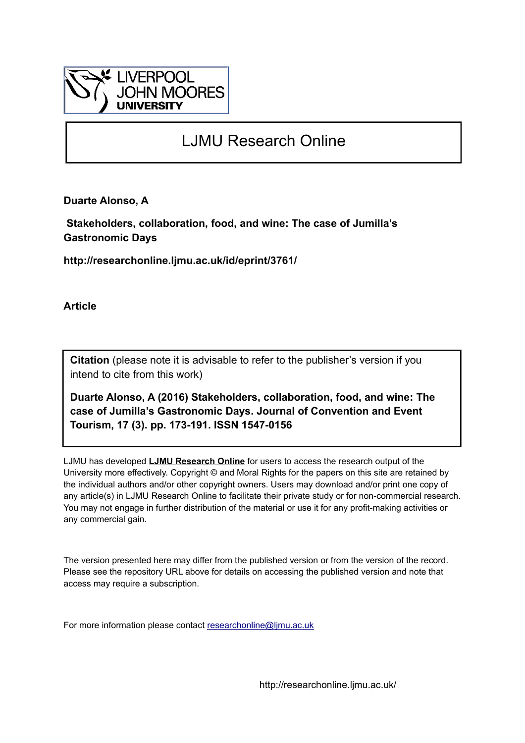

# LJMU Research Online

**Duarte Alonso, A**

 **Stakeholders, collaboration, food, and wine: The case of Jumilla's Gastronomic Days**

**http://researchonline.ljmu.ac.uk/id/eprint/3761/**

**Article**

**Citation** (please note it is advisable to refer to the publisher's version if you intend to cite from this work)

**Duarte Alonso, A (2016) Stakeholders, collaboration, food, and wine: The case of Jumilla's Gastronomic Days. Journal of Convention and Event Tourism, 17 (3). pp. 173-191. ISSN 1547-0156** 

LJMU has developed **[LJMU Research Online](http://researchonline.ljmu.ac.uk/)** for users to access the research output of the University more effectively. Copyright © and Moral Rights for the papers on this site are retained by the individual authors and/or other copyright owners. Users may download and/or print one copy of any article(s) in LJMU Research Online to facilitate their private study or for non-commercial research. You may not engage in further distribution of the material or use it for any profit-making activities or any commercial gain.

The version presented here may differ from the published version or from the version of the record. Please see the repository URL above for details on accessing the published version and note that access may require a subscription.

For more information please contact [researchonline@ljmu.ac.uk](mailto:researchonline@ljmu.ac.uk)

http://researchonline.ljmu.ac.uk/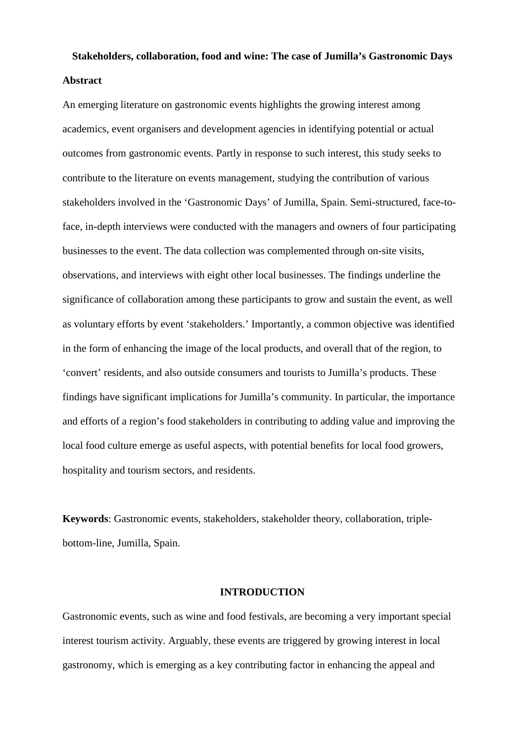## **Stakeholders, collaboration, food and wine: The case of Jumilla's Gastronomic Days Abstract**

An emerging literature on gastronomic events highlights the growing interest among academics, event organisers and development agencies in identifying potential or actual outcomes from gastronomic events. Partly in response to such interest, this study seeks to contribute to the literature on events management, studying the contribution of various stakeholders involved in the 'Gastronomic Days' of Jumilla, Spain. Semi-structured, face-toface, in-depth interviews were conducted with the managers and owners of four participating businesses to the event. The data collection was complemented through on-site visits, observations, and interviews with eight other local businesses. The findings underline the significance of collaboration among these participants to grow and sustain the event, as well as voluntary efforts by event 'stakeholders.' Importantly, a common objective was identified in the form of enhancing the image of the local products, and overall that of the region, to 'convert' residents, and also outside consumers and tourists to Jumilla's products. These findings have significant implications for Jumilla's community. In particular, the importance and efforts of a region's food stakeholders in contributing to adding value and improving the local food culture emerge as useful aspects, with potential benefits for local food growers, hospitality and tourism sectors, and residents.

**Keywords**: Gastronomic events, stakeholders, stakeholder theory, collaboration, triplebottom-line, Jumilla, Spain.

#### **INTRODUCTION**

Gastronomic events, such as wine and food festivals, are becoming a very important special interest tourism activity. Arguably, these events are triggered by growing interest in local gastronomy, which is emerging as a key contributing factor in enhancing the appeal and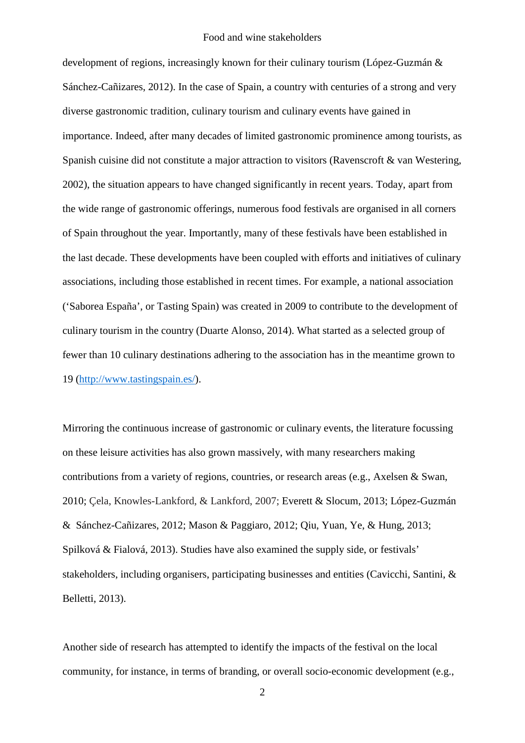development of regions, increasingly known for their culinary tourism (López-Guzmán & Sánchez-Cañizares, 2012). In the case of Spain, a country with centuries of a strong and very diverse gastronomic tradition, culinary tourism and culinary events have gained in importance. Indeed, after many decades of limited gastronomic prominence among tourists, as Spanish cuisine did not constitute a major attraction to visitors (Ravenscroft & van Westering, 2002), the situation appears to have changed significantly in recent years. Today, apart from the wide range of gastronomic offerings, numerous food festivals are organised in all corners of Spain throughout the year. Importantly, many of these festivals have been established in the last decade. These developments have been coupled with efforts and initiatives of culinary associations, including those established in recent times. For example, a national association ('Saborea España', or Tasting Spain) was created in 2009 to contribute to the development of culinary tourism in the country (Duarte Alonso, 2014). What started as a selected group of fewer than 10 culinary destinations adhering to the association has in the meantime grown to 19 [\(http://www.tastingspain.es/\)](http://www.tastingspain.es/).

Mirroring the continuous increase of gastronomic or culinary events, the literature focussing on these leisure activities has also grown massively, with many researchers making contributions from a variety of regions, countries, or research areas (e.g., Axelsen & Swan, 2010; Çela, Knowles-Lankford, & Lankford, 2007; Everett & Slocum, 2013; López-Guzmán & Sánchez-Cañizares, 2012; Mason & Paggiaro, 2012; Qiu, Yuan, Ye, & Hung, 2013; Spilková & Fialová, 2013). Studies have also examined the supply side, or festivals' stakeholders, including organisers, participating businesses and entities (Cavicchi, Santini, & Belletti, 2013).

Another side of research has attempted to identify the impacts of the festival on the local community, for instance, in terms of branding, or overall socio-economic development (e.g.,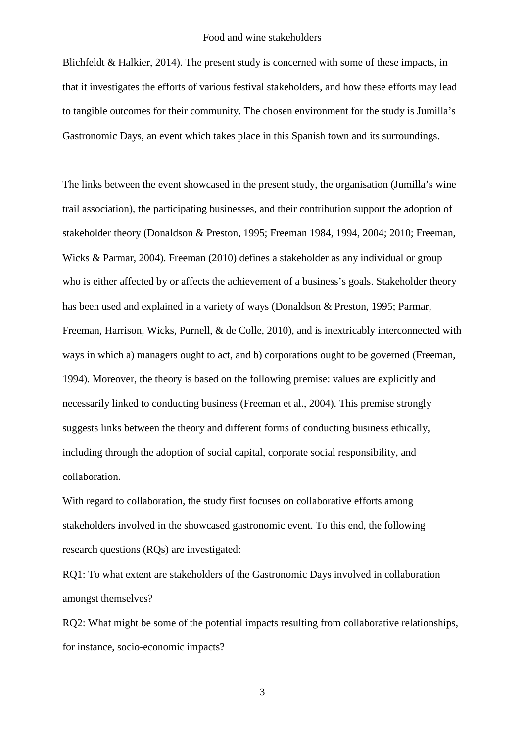Blichfeldt & Halkier, 2014). The present study is concerned with some of these impacts, in that it investigates the efforts of various festival stakeholders, and how these efforts may lead to tangible outcomes for their community. The chosen environment for the study is Jumilla's Gastronomic Days, an event which takes place in this Spanish town and its surroundings.

The links between the event showcased in the present study, the organisation (Jumilla's wine trail association), the participating businesses, and their contribution support the adoption of stakeholder theory (Donaldson & Preston, 1995; Freeman 1984, 1994, 2004; 2010; Freeman, Wicks & Parmar, 2004). Freeman (2010) defines a stakeholder as any individual or group who is either affected by or affects the achievement of a business's goals. Stakeholder theory has been used and explained in a variety of ways (Donaldson & Preston, 1995; Parmar, Freeman, Harrison, Wicks, Purnell, & de Colle, 2010), and is inextricably interconnected with ways in which a) managers ought to act, and b) corporations ought to be governed (Freeman, 1994). Moreover, the theory is based on the following premise: values are explicitly and necessarily linked to conducting business (Freeman et al., 2004). This premise strongly suggests links between the theory and different forms of conducting business ethically, including through the adoption of social capital, corporate social responsibility, and collaboration.

With regard to collaboration, the study first focuses on collaborative efforts among stakeholders involved in the showcased gastronomic event. To this end, the following research questions (RQs) are investigated:

RQ1: To what extent are stakeholders of the Gastronomic Days involved in collaboration amongst themselves?

RQ2: What might be some of the potential impacts resulting from collaborative relationships, for instance, socio-economic impacts?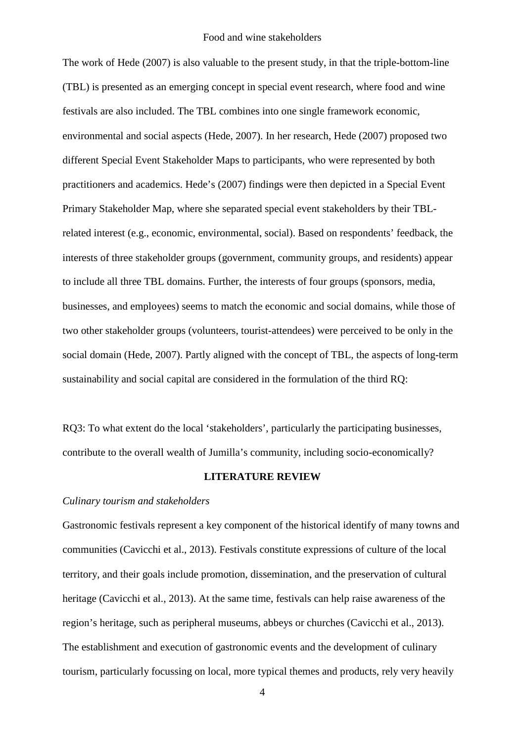The work of Hede (2007) is also valuable to the present study, in that the triple-bottom-line (TBL) is presented as an emerging concept in special event research, where food and wine festivals are also included. The TBL combines into one single framework economic, environmental and social aspects (Hede, 2007). In her research, Hede (2007) proposed two different Special Event Stakeholder Maps to participants, who were represented by both practitioners and academics. Hede's (2007) findings were then depicted in a Special Event Primary Stakeholder Map, where she separated special event stakeholders by their TBLrelated interest (e.g., economic, environmental, social). Based on respondents' feedback, the interests of three stakeholder groups (government, community groups, and residents) appear to include all three TBL domains. Further, the interests of four groups (sponsors, media, businesses, and employees) seems to match the economic and social domains, while those of two other stakeholder groups (volunteers, tourist-attendees) were perceived to be only in the social domain (Hede, 2007). Partly aligned with the concept of TBL, the aspects of long-term sustainability and social capital are considered in the formulation of the third RQ:

RQ3: To what extent do the local 'stakeholders', particularly the participating businesses, contribute to the overall wealth of Jumilla's community, including socio-economically?

#### **LITERATURE REVIEW**

## *Culinary tourism and stakeholders*

Gastronomic festivals represent a key component of the historical identify of many towns and communities (Cavicchi et al., 2013). Festivals constitute expressions of culture of the local territory, and their goals include promotion, dissemination, and the preservation of cultural heritage (Cavicchi et al., 2013). At the same time, festivals can help raise awareness of the region's heritage, such as peripheral museums, abbeys or churches (Cavicchi et al., 2013). The establishment and execution of gastronomic events and the development of culinary tourism, particularly focussing on local, more typical themes and products, rely very heavily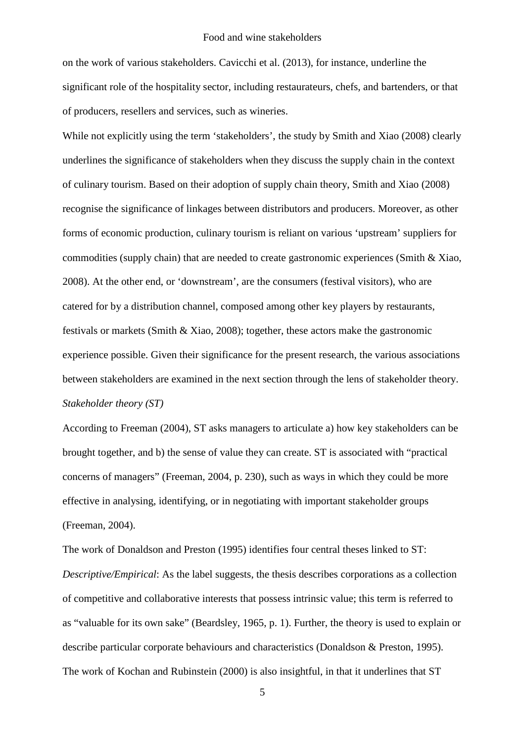on the work of various stakeholders. Cavicchi et al. (2013), for instance, underline the significant role of the hospitality sector, including restaurateurs, chefs, and bartenders, or that of producers, resellers and services, such as wineries.

While not explicitly using the term 'stakeholders', the study by Smith and Xiao (2008) clearly underlines the significance of stakeholders when they discuss the supply chain in the context of culinary tourism. Based on their adoption of supply chain theory, Smith and Xiao (2008) recognise the significance of linkages between distributors and producers. Moreover, as other forms of economic production, culinary tourism is reliant on various 'upstream' suppliers for commodities (supply chain) that are needed to create gastronomic experiences (Smith & Xiao, 2008). At the other end, or 'downstream', are the consumers (festival visitors), who are catered for by a distribution channel, composed among other key players by restaurants, festivals or markets (Smith & Xiao, 2008); together, these actors make the gastronomic experience possible. Given their significance for the present research, the various associations between stakeholders are examined in the next section through the lens of stakeholder theory. *Stakeholder theory (ST)*

According to Freeman (2004), ST asks managers to articulate a) how key stakeholders can be brought together, and b) the sense of value they can create. ST is associated with "practical concerns of managers" (Freeman, 2004, p. 230), such as ways in which they could be more effective in analysing, identifying, or in negotiating with important stakeholder groups (Freeman, 2004).

The work of Donaldson and Preston (1995) identifies four central theses linked to ST: *Descriptive/Empirical*: As the label suggests, the thesis describes corporations as a collection of competitive and collaborative interests that possess intrinsic value; this term is referred to as "valuable for its own sake" (Beardsley, 1965, p. 1). Further, the theory is used to explain or describe particular corporate behaviours and characteristics (Donaldson & Preston, 1995). The work of Kochan and Rubinstein (2000) is also insightful, in that it underlines that ST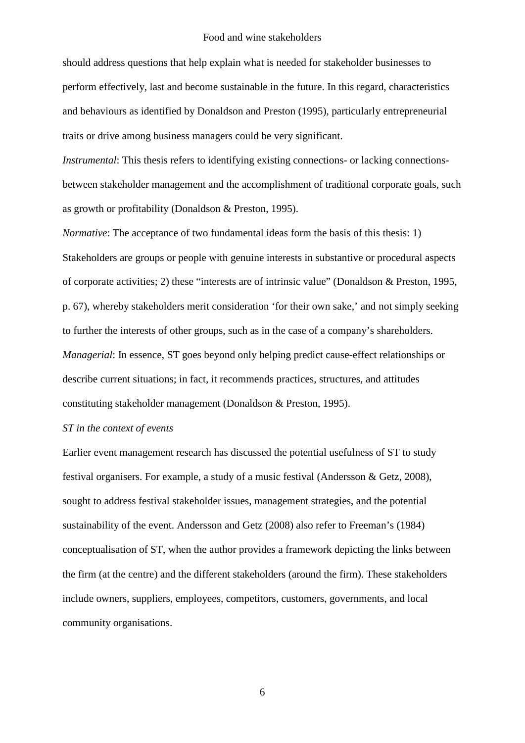should address questions that help explain what is needed for stakeholder businesses to perform effectively, last and become sustainable in the future. In this regard, characteristics and behaviours as identified by Donaldson and Preston (1995), particularly entrepreneurial traits or drive among business managers could be very significant.

*Instrumental:* This thesis refers to identifying existing connections- or lacking connectionsbetween stakeholder management and the accomplishment of traditional corporate goals, such as growth or profitability (Donaldson & Preston, 1995).

*Normative*: The acceptance of two fundamental ideas form the basis of this thesis: 1) Stakeholders are groups or people with genuine interests in substantive or procedural aspects of corporate activities; 2) these "interests are of intrinsic value" (Donaldson & Preston, 1995, p. 67), whereby stakeholders merit consideration 'for their own sake,' and not simply seeking to further the interests of other groups, such as in the case of a company's shareholders. *Managerial*: In essence, ST goes beyond only helping predict cause-effect relationships or describe current situations; in fact, it recommends practices, structures, and attitudes constituting stakeholder management (Donaldson & Preston, 1995).

## *ST in the context of events*

Earlier event management research has discussed the potential usefulness of ST to study festival organisers. For example, a study of a music festival (Andersson & Getz, 2008), sought to address festival stakeholder issues, management strategies, and the potential sustainability of the event. Andersson and Getz (2008) also refer to Freeman's (1984) conceptualisation of ST, when the author provides a framework depicting the links between the firm (at the centre) and the different stakeholders (around the firm). These stakeholders include owners, suppliers, employees, competitors, customers, governments, and local community organisations.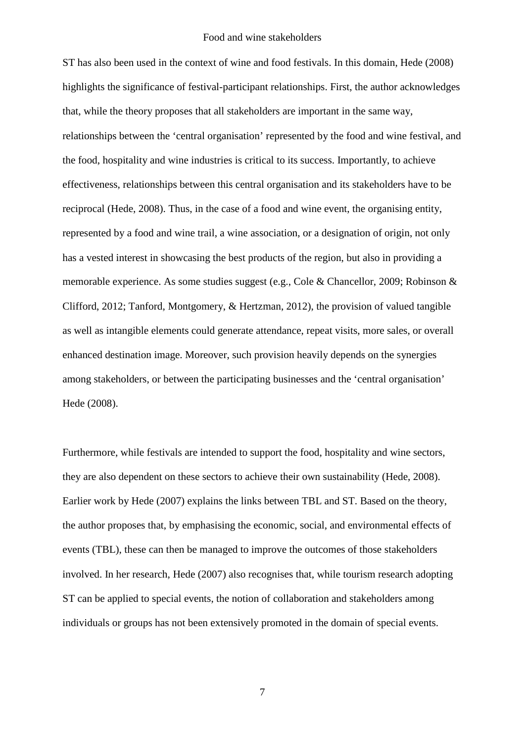ST has also been used in the context of wine and food festivals. In this domain, Hede (2008) highlights the significance of festival-participant relationships. First, the author acknowledges that, while the theory proposes that all stakeholders are important in the same way, relationships between the 'central organisation' represented by the food and wine festival, and the food, hospitality and wine industries is critical to its success. Importantly, to achieve effectiveness, relationships between this central organisation and its stakeholders have to be reciprocal (Hede, 2008). Thus, in the case of a food and wine event, the organising entity, represented by a food and wine trail, a wine association, or a designation of origin, not only has a vested interest in showcasing the best products of the region, but also in providing a memorable experience. As some studies suggest (e.g., Cole & Chancellor, 2009; Robinson & Clifford, 2012; Tanford, Montgomery, & Hertzman, 2012), the provision of valued tangible as well as intangible elements could generate attendance, repeat visits, more sales, or overall enhanced destination image. Moreover, such provision heavily depends on the synergies among stakeholders, or between the participating businesses and the 'central organisation' Hede (2008).

Furthermore, while festivals are intended to support the food, hospitality and wine sectors, they are also dependent on these sectors to achieve their own sustainability (Hede, 2008). Earlier work by Hede (2007) explains the links between TBL and ST. Based on the theory, the author proposes that, by emphasising the economic, social, and environmental effects of events (TBL), these can then be managed to improve the outcomes of those stakeholders involved. In her research, Hede (2007) also recognises that, while tourism research adopting ST can be applied to special events, the notion of collaboration and stakeholders among individuals or groups has not been extensively promoted in the domain of special events.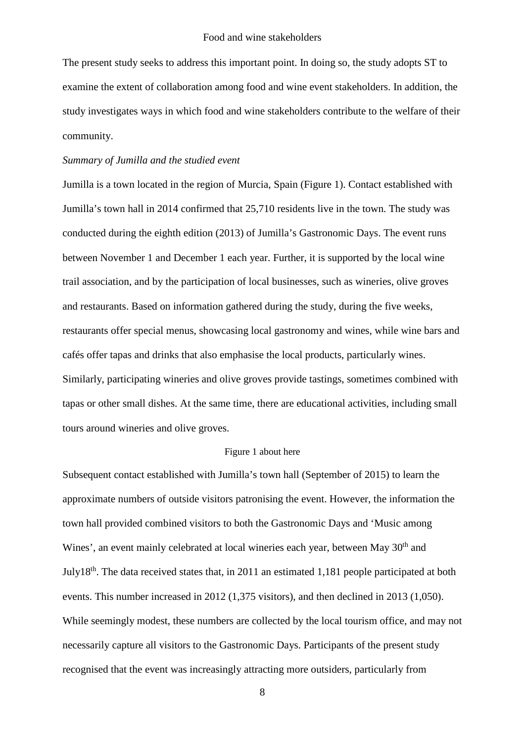The present study seeks to address this important point. In doing so, the study adopts ST to examine the extent of collaboration among food and wine event stakeholders. In addition, the study investigates ways in which food and wine stakeholders contribute to the welfare of their community.

## *Summary of Jumilla and the studied event*

Jumilla is a town located in the region of Murcia, Spain (Figure 1). Contact established with Jumilla's town hall in 2014 confirmed that 25,710 residents live in the town. The study was conducted during the eighth edition (2013) of Jumilla's Gastronomic Days. The event runs between November 1 and December 1 each year. Further, it is supported by the local wine trail association, and by the participation of local businesses, such as wineries, olive groves and restaurants. Based on information gathered during the study, during the five weeks, restaurants offer special menus, showcasing local gastronomy and wines, while wine bars and cafés offer tapas and drinks that also emphasise the local products, particularly wines. Similarly, participating wineries and olive groves provide tastings, sometimes combined with tapas or other small dishes. At the same time, there are educational activities, including small tours around wineries and olive groves.

## Figure 1 about here

Subsequent contact established with Jumilla's town hall (September of 2015) to learn the approximate numbers of outside visitors patronising the event. However, the information the town hall provided combined visitors to both the Gastronomic Days and 'Music among Wines', an event mainly celebrated at local wineries each year, between May 30<sup>th</sup> and July18th. The data received states that, in 2011 an estimated 1,181 people participated at both events. This number increased in 2012 (1,375 visitors), and then declined in 2013 (1,050). While seemingly modest, these numbers are collected by the local tourism office, and may not necessarily capture all visitors to the Gastronomic Days. Participants of the present study recognised that the event was increasingly attracting more outsiders, particularly from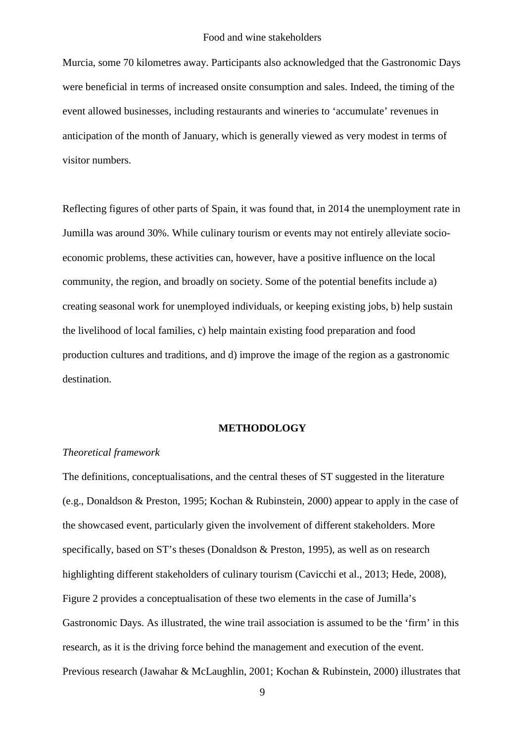Murcia, some 70 kilometres away. Participants also acknowledged that the Gastronomic Days were beneficial in terms of increased onsite consumption and sales. Indeed, the timing of the event allowed businesses, including restaurants and wineries to 'accumulate' revenues in anticipation of the month of January, which is generally viewed as very modest in terms of visitor numbers.

Reflecting figures of other parts of Spain, it was found that, in 2014 the unemployment rate in Jumilla was around 30%. While culinary tourism or events may not entirely alleviate socioeconomic problems, these activities can, however, have a positive influence on the local community, the region, and broadly on society. Some of the potential benefits include a) creating seasonal work for unemployed individuals, or keeping existing jobs, b) help sustain the livelihood of local families, c) help maintain existing food preparation and food production cultures and traditions, and d) improve the image of the region as a gastronomic destination.

#### **METHODOLOGY**

## *Theoretical framework*

The definitions, conceptualisations, and the central theses of ST suggested in the literature (e.g., Donaldson & Preston, 1995; Kochan & Rubinstein, 2000) appear to apply in the case of the showcased event, particularly given the involvement of different stakeholders. More specifically, based on ST's theses (Donaldson & Preston, 1995), as well as on research highlighting different stakeholders of culinary tourism (Cavicchi et al., 2013; Hede, 2008), Figure 2 provides a conceptualisation of these two elements in the case of Jumilla's Gastronomic Days. As illustrated, the wine trail association is assumed to be the 'firm' in this research, as it is the driving force behind the management and execution of the event. Previous research (Jawahar & McLaughlin, 2001; Kochan & Rubinstein, 2000) illustrates that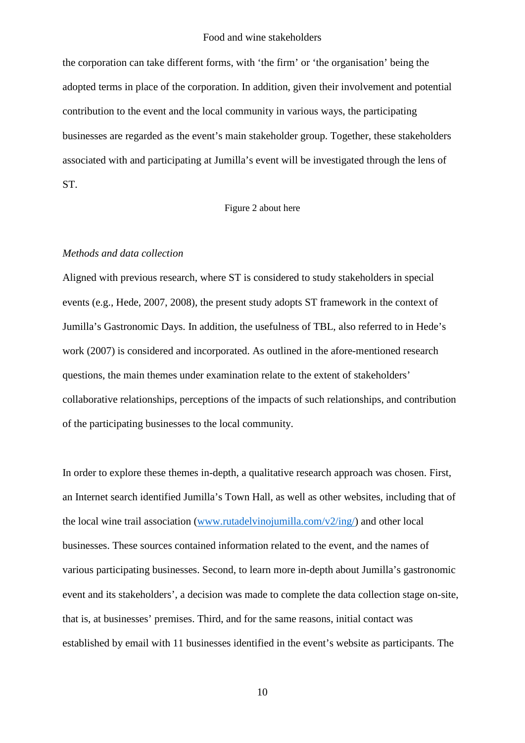the corporation can take different forms, with 'the firm' or 'the organisation' being the adopted terms in place of the corporation. In addition, given their involvement and potential contribution to the event and the local community in various ways, the participating businesses are regarded as the event's main stakeholder group. Together, these stakeholders associated with and participating at Jumilla's event will be investigated through the lens of ST.

## Figure 2 about here

## *Methods and data collection*

Aligned with previous research, where ST is considered to study stakeholders in special events (e.g., Hede, 2007, 2008), the present study adopts ST framework in the context of Jumilla's Gastronomic Days. In addition, the usefulness of TBL, also referred to in Hede's work (2007) is considered and incorporated. As outlined in the afore-mentioned research questions, the main themes under examination relate to the extent of stakeholders' collaborative relationships, perceptions of the impacts of such relationships, and contribution of the participating businesses to the local community.

In order to explore these themes in-depth, a qualitative research approach was chosen. First, an Internet search identified Jumilla's Town Hall, as well as other websites, including that of the local wine trail association [\(www.rutadelvinojumilla.com/v2/ing/\)](http://www.rutadelvinojumilla.com/v2/ing/) and other local businesses. These sources contained information related to the event, and the names of various participating businesses. Second, to learn more in-depth about Jumilla's gastronomic event and its stakeholders', a decision was made to complete the data collection stage on-site, that is, at businesses' premises. Third, and for the same reasons, initial contact was established by email with 11 businesses identified in the event's website as participants. The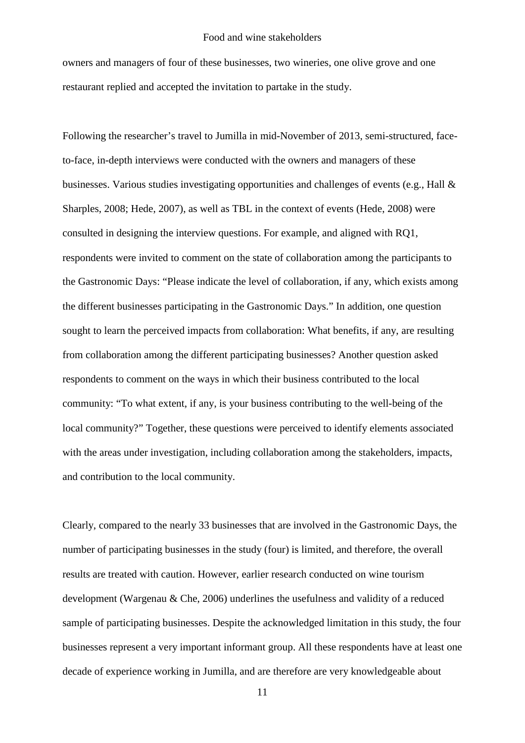owners and managers of four of these businesses, two wineries, one olive grove and one restaurant replied and accepted the invitation to partake in the study.

Following the researcher's travel to Jumilla in mid-November of 2013, semi-structured, faceto-face, in-depth interviews were conducted with the owners and managers of these businesses. Various studies investigating opportunities and challenges of events (e.g., Hall & Sharples, 2008; Hede, 2007), as well as TBL in the context of events (Hede, 2008) were consulted in designing the interview questions. For example, and aligned with RQ1, respondents were invited to comment on the state of collaboration among the participants to the Gastronomic Days: "Please indicate the level of collaboration, if any, which exists among the different businesses participating in the Gastronomic Days." In addition, one question sought to learn the perceived impacts from collaboration: What benefits, if any, are resulting from collaboration among the different participating businesses? Another question asked respondents to comment on the ways in which their business contributed to the local community: "To what extent, if any, is your business contributing to the well-being of the local community?" Together, these questions were perceived to identify elements associated with the areas under investigation, including collaboration among the stakeholders, impacts, and contribution to the local community.

Clearly, compared to the nearly 33 businesses that are involved in the Gastronomic Days, the number of participating businesses in the study (four) is limited, and therefore, the overall results are treated with caution. However, earlier research conducted on wine tourism development (Wargenau & Che, 2006) underlines the usefulness and validity of a reduced sample of participating businesses. Despite the acknowledged limitation in this study, the four businesses represent a very important informant group. All these respondents have at least one decade of experience working in Jumilla, and are therefore are very knowledgeable about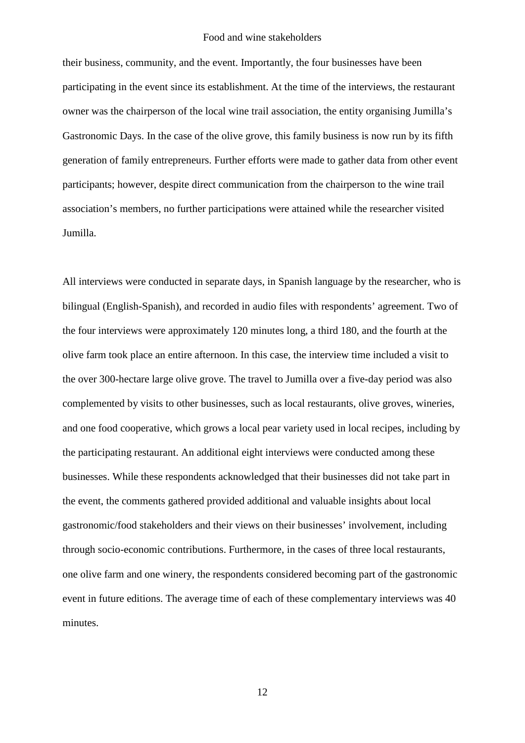their business, community, and the event. Importantly, the four businesses have been participating in the event since its establishment. At the time of the interviews, the restaurant owner was the chairperson of the local wine trail association, the entity organising Jumilla's Gastronomic Days. In the case of the olive grove, this family business is now run by its fifth generation of family entrepreneurs. Further efforts were made to gather data from other event participants; however, despite direct communication from the chairperson to the wine trail association's members, no further participations were attained while the researcher visited Jumilla.

All interviews were conducted in separate days, in Spanish language by the researcher, who is bilingual (English-Spanish), and recorded in audio files with respondents' agreement. Two of the four interviews were approximately 120 minutes long, a third 180, and the fourth at the olive farm took place an entire afternoon. In this case, the interview time included a visit to the over 300-hectare large olive grove. The travel to Jumilla over a five-day period was also complemented by visits to other businesses, such as local restaurants, olive groves, wineries, and one food cooperative, which grows a local pear variety used in local recipes, including by the participating restaurant. An additional eight interviews were conducted among these businesses. While these respondents acknowledged that their businesses did not take part in the event, the comments gathered provided additional and valuable insights about local gastronomic/food stakeholders and their views on their businesses' involvement, including through socio-economic contributions. Furthermore, in the cases of three local restaurants, one olive farm and one winery, the respondents considered becoming part of the gastronomic event in future editions. The average time of each of these complementary interviews was 40 minutes.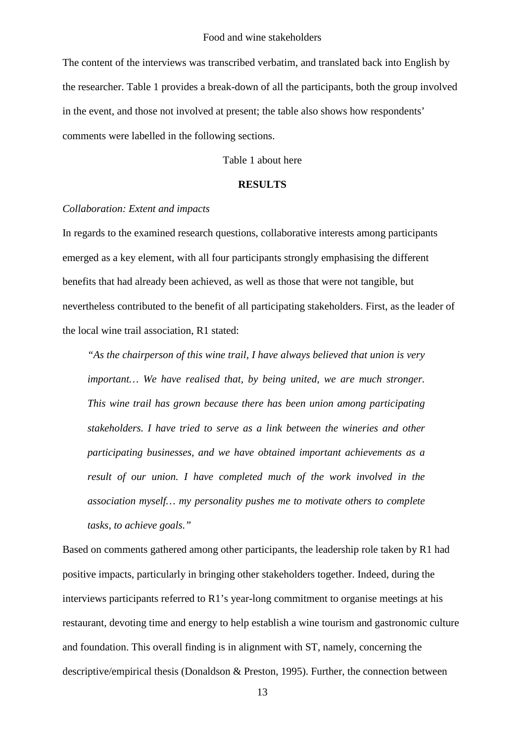The content of the interviews was transcribed verbatim, and translated back into English by the researcher. Table 1 provides a break-down of all the participants, both the group involved in the event, and those not involved at present; the table also shows how respondents' comments were labelled in the following sections.

Table 1 about here

#### **RESULTS**

## *Collaboration: Extent and impacts*

In regards to the examined research questions, collaborative interests among participants emerged as a key element, with all four participants strongly emphasising the different benefits that had already been achieved, as well as those that were not tangible, but nevertheless contributed to the benefit of all participating stakeholders. First, as the leader of the local wine trail association, R1 stated:

*"As the chairperson of this wine trail, I have always believed that union is very important… We have realised that, by being united, we are much stronger. This wine trail has grown because there has been union among participating stakeholders. I have tried to serve as a link between the wineries and other participating businesses, and we have obtained important achievements as a result of our union. I have completed much of the work involved in the association myself… my personality pushes me to motivate others to complete tasks, to achieve goals."*

Based on comments gathered among other participants, the leadership role taken by R1 had positive impacts, particularly in bringing other stakeholders together. Indeed, during the interviews participants referred to R1's year-long commitment to organise meetings at his restaurant, devoting time and energy to help establish a wine tourism and gastronomic culture and foundation. This overall finding is in alignment with ST, namely, concerning the descriptive/empirical thesis (Donaldson & Preston, 1995). Further, the connection between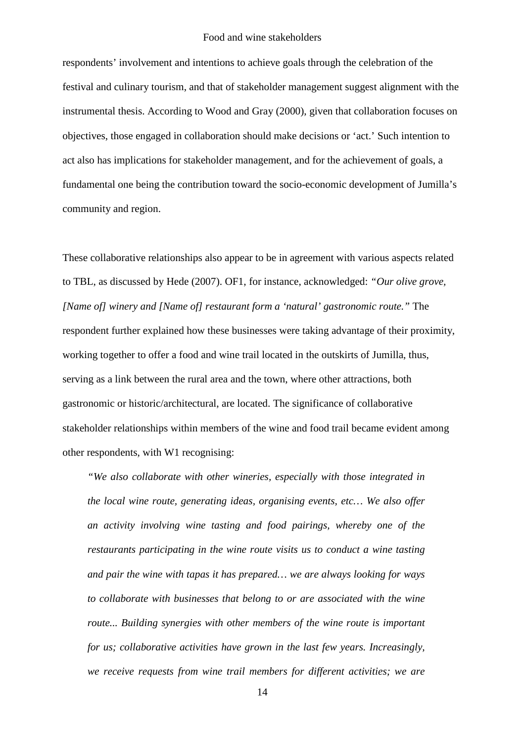respondents' involvement and intentions to achieve goals through the celebration of the festival and culinary tourism, and that of stakeholder management suggest alignment with the instrumental thesis. According to Wood and Gray (2000), given that collaboration focuses on objectives, those engaged in collaboration should make decisions or 'act.' Such intention to act also has implications for stakeholder management, and for the achievement of goals, a fundamental one being the contribution toward the socio-economic development of Jumilla's community and region.

These collaborative relationships also appear to be in agreement with various aspects related to TBL, as discussed by Hede (2007). OF1, for instance, acknowledged: *"Our olive grove, [Name of] winery and [Name of] restaurant form a 'natural' gastronomic route."* The respondent further explained how these businesses were taking advantage of their proximity, working together to offer a food and wine trail located in the outskirts of Jumilla, thus, serving as a link between the rural area and the town, where other attractions, both gastronomic or historic/architectural, are located. The significance of collaborative stakeholder relationships within members of the wine and food trail became evident among other respondents, with W1 recognising:

*"We also collaborate with other wineries, especially with those integrated in the local wine route, generating ideas, organising events, etc… We also offer an activity involving wine tasting and food pairings, whereby one of the restaurants participating in the wine route visits us to conduct a wine tasting and pair the wine with tapas it has prepared… we are always looking for ways to collaborate with businesses that belong to or are associated with the wine route... Building synergies with other members of the wine route is important for us; collaborative activities have grown in the last few years. Increasingly, we receive requests from wine trail members for different activities; we are*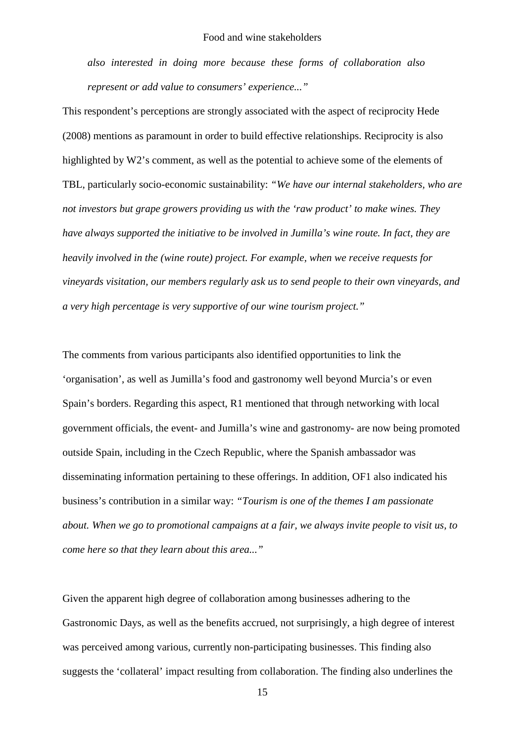*also interested in doing more because these forms of collaboration also represent or add value to consumers' experience..."*

This respondent's perceptions are strongly associated with the aspect of reciprocity Hede (2008) mentions as paramount in order to build effective relationships. Reciprocity is also highlighted by W2's comment, as well as the potential to achieve some of the elements of TBL, particularly socio-economic sustainability: *"We have our internal stakeholders, who are not investors but grape growers providing us with the 'raw product' to make wines. They have always supported the initiative to be involved in Jumilla's wine route. In fact, they are heavily involved in the (wine route) project. For example, when we receive requests for vineyards visitation, our members regularly ask us to send people to their own vineyards, and a very high percentage is very supportive of our wine tourism project."*

The comments from various participants also identified opportunities to link the 'organisation', as well as Jumilla's food and gastronomy well beyond Murcia's or even Spain's borders. Regarding this aspect, R1 mentioned that through networking with local government officials, the event- and Jumilla's wine and gastronomy- are now being promoted outside Spain, including in the Czech Republic, where the Spanish ambassador was disseminating information pertaining to these offerings. In addition, OF1 also indicated his business's contribution in a similar way: *"Tourism is one of the themes I am passionate about. When we go to promotional campaigns at a fair, we always invite people to visit us, to come here so that they learn about this area..."*

Given the apparent high degree of collaboration among businesses adhering to the Gastronomic Days, as well as the benefits accrued, not surprisingly, a high degree of interest was perceived among various, currently non-participating businesses. This finding also suggests the 'collateral' impact resulting from collaboration. The finding also underlines the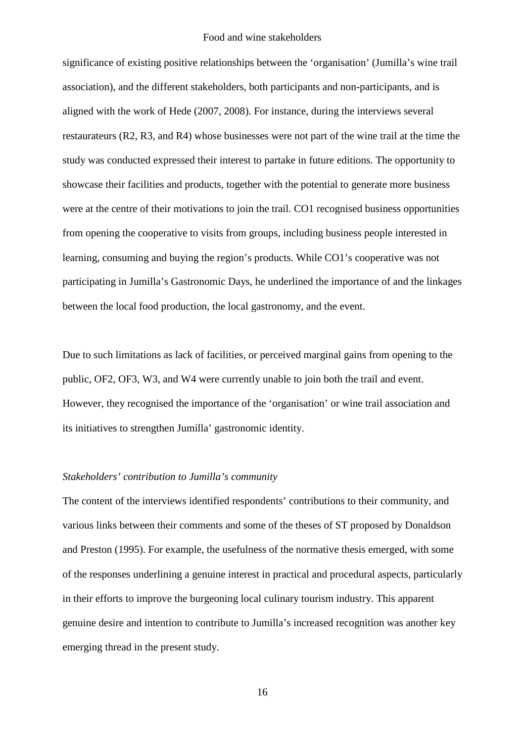significance of existing positive relationships between the 'organisation' (Jumilla's wine trail association), and the different stakeholders, both participants and non-participants, and is aligned with the work of Hede (2007, 2008). For instance, during the interviews several restaurateurs (R2, R3, and R4) whose businesses were not part of the wine trail at the time the study was conducted expressed their interest to partake in future editions. The opportunity to showcase their facilities and products, together with the potential to generate more business were at the centre of their motivations to join the trail. CO1 recognised business opportunities from opening the cooperative to visits from groups, including business people interested in learning, consuming and buying the region's products. While CO1's cooperative was not participating in Jumilla's Gastronomic Days, he underlined the importance of and the linkages between the local food production, the local gastronomy, and the event.

Due to such limitations as lack of facilities, or perceived marginal gains from opening to the public, OF2, OF3, W3, and W4 were currently unable to join both the trail and event. However, they recognised the importance of the 'organisation' or wine trail association and its initiatives to strengthen Jumilla' gastronomic identity.

#### *Stakeholders' contribution to Jumilla's community*

The content of the interviews identified respondents' contributions to their community, and various links between their comments and some of the theses of ST proposed by Donaldson and Preston (1995). For example, the usefulness of the normative thesis emerged, with some of the responses underlining a genuine interest in practical and procedural aspects, particularly in their efforts to improve the burgeoning local culinary tourism industry. This apparent genuine desire and intention to contribute to Jumilla's increased recognition was another key emerging thread in the present study.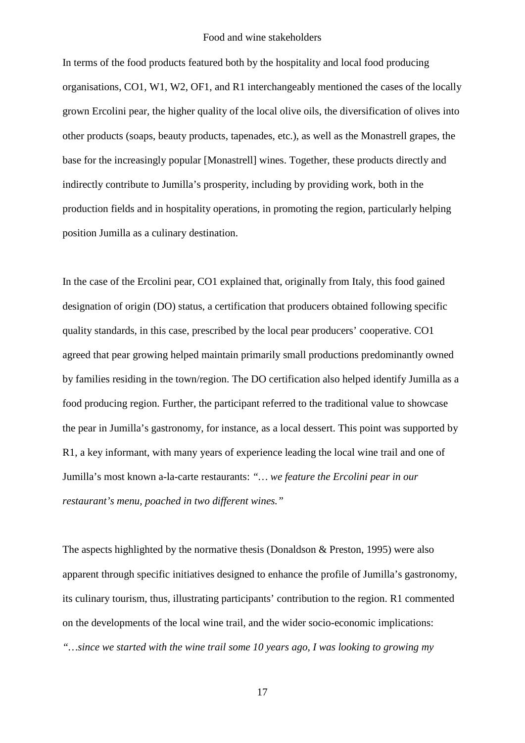In terms of the food products featured both by the hospitality and local food producing organisations, CO1, W1, W2, OF1, and R1 interchangeably mentioned the cases of the locally grown Ercolini pear, the higher quality of the local olive oils, the diversification of olives into other products (soaps, beauty products, tapenades, etc.), as well as the Monastrell grapes, the base for the increasingly popular [Monastrell] wines. Together, these products directly and indirectly contribute to Jumilla's prosperity, including by providing work, both in the production fields and in hospitality operations, in promoting the region, particularly helping position Jumilla as a culinary destination.

In the case of the Ercolini pear, CO1 explained that, originally from Italy, this food gained designation of origin (DO) status, a certification that producers obtained following specific quality standards, in this case, prescribed by the local pear producers' cooperative. CO1 agreed that pear growing helped maintain primarily small productions predominantly owned by families residing in the town/region. The DO certification also helped identify Jumilla as a food producing region. Further, the participant referred to the traditional value to showcase the pear in Jumilla's gastronomy, for instance, as a local dessert. This point was supported by R1, a key informant, with many years of experience leading the local wine trail and one of Jumilla's most known a-la-carte restaurants: *"… we feature the Ercolini pear in our restaurant's menu, poached in two different wines."*

The aspects highlighted by the normative thesis (Donaldson & Preston, 1995) were also apparent through specific initiatives designed to enhance the profile of Jumilla's gastronomy, its culinary tourism, thus, illustrating participants' contribution to the region. R1 commented on the developments of the local wine trail, and the wider socio-economic implications: *"…since we started with the wine trail some 10 years ago, I was looking to growing my*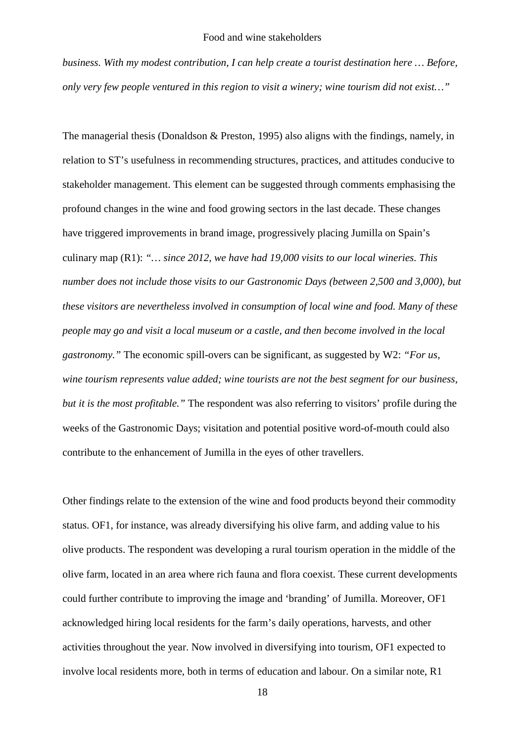*business. With my modest contribution, I can help create a tourist destination here … Before, only very few people ventured in this region to visit a winery; wine tourism did not exist…"*

The managerial thesis (Donaldson & Preston, 1995) also aligns with the findings, namely, in relation to ST's usefulness in recommending structures, practices, and attitudes conducive to stakeholder management. This element can be suggested through comments emphasising the profound changes in the wine and food growing sectors in the last decade. These changes have triggered improvements in brand image, progressively placing Jumilla on Spain's culinary map (R1): *"… since 2012, we have had 19,000 visits to our local wineries. This number does not include those visits to our Gastronomic Days (between 2,500 and 3,000), but these visitors are nevertheless involved in consumption of local wine and food. Many of these people may go and visit a local museum or a castle, and then become involved in the local gastronomy."* The economic spill-overs can be significant, as suggested by W2: *"For us, wine tourism represents value added; wine tourists are not the best segment for our business, but it is the most profitable."* The respondent was also referring to visitors' profile during the weeks of the Gastronomic Days; visitation and potential positive word-of-mouth could also contribute to the enhancement of Jumilla in the eyes of other travellers.

Other findings relate to the extension of the wine and food products beyond their commodity status. OF1, for instance, was already diversifying his olive farm, and adding value to his olive products. The respondent was developing a rural tourism operation in the middle of the olive farm, located in an area where rich fauna and flora coexist. These current developments could further contribute to improving the image and 'branding' of Jumilla. Moreover, OF1 acknowledged hiring local residents for the farm's daily operations, harvests, and other activities throughout the year. Now involved in diversifying into tourism, OF1 expected to involve local residents more, both in terms of education and labour. On a similar note, R1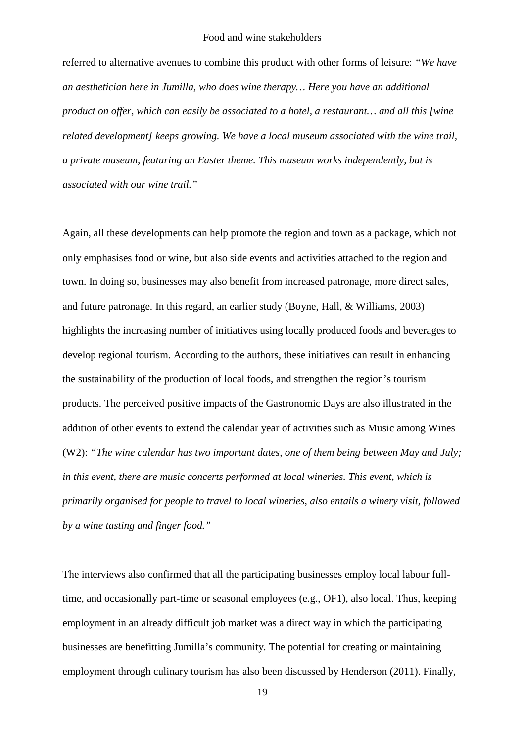referred to alternative avenues to combine this product with other forms of leisure: *"We have an aesthetician here in Jumilla, who does wine therapy… Here you have an additional product on offer, which can easily be associated to a hotel, a restaurant… and all this [wine related development] keeps growing. We have a local museum associated with the wine trail, a private museum, featuring an Easter theme. This museum works independently, but is associated with our wine trail."*

Again, all these developments can help promote the region and town as a package, which not only emphasises food or wine, but also side events and activities attached to the region and town. In doing so, businesses may also benefit from increased patronage, more direct sales, and future patronage. In this regard, an earlier study (Boyne, Hall, & Williams, 2003) highlights the increasing number of initiatives using locally produced foods and beverages to develop regional tourism. According to the authors, these initiatives can result in enhancing the sustainability of the production of local foods, and strengthen the region's tourism products. The perceived positive impacts of the Gastronomic Days are also illustrated in the addition of other events to extend the calendar year of activities such as Music among Wines (W2): *"The wine calendar has two important dates, one of them being between May and July; in this event, there are music concerts performed at local wineries. This event, which is primarily organised for people to travel to local wineries, also entails a winery visit, followed by a wine tasting and finger food."*

The interviews also confirmed that all the participating businesses employ local labour fulltime, and occasionally part-time or seasonal employees (e.g., OF1), also local. Thus, keeping employment in an already difficult job market was a direct way in which the participating businesses are benefitting Jumilla's community. The potential for creating or maintaining employment through culinary tourism has also been discussed by Henderson (2011). Finally,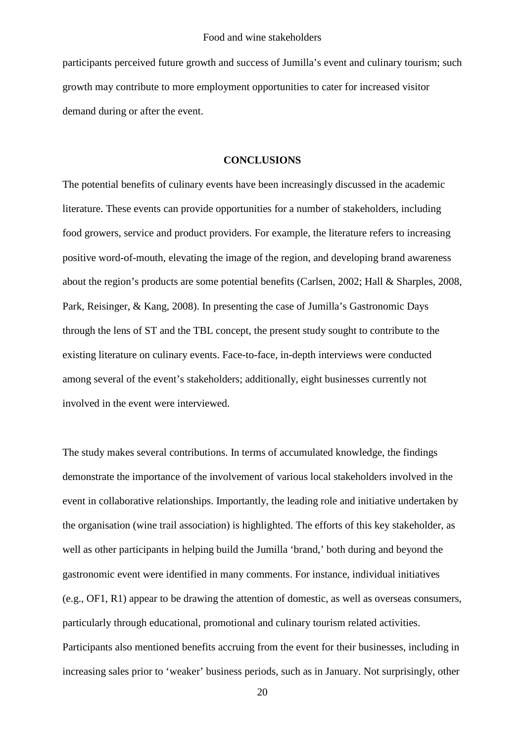participants perceived future growth and success of Jumilla's event and culinary tourism; such growth may contribute to more employment opportunities to cater for increased visitor demand during or after the event.

## **CONCLUSIONS**

The potential benefits of culinary events have been increasingly discussed in the academic literature. These events can provide opportunities for a number of stakeholders, including food growers, service and product providers. For example, the literature refers to increasing positive word-of-mouth, elevating the image of the region, and developing brand awareness about the region's products are some potential benefits (Carlsen, 2002; Hall & Sharples, 2008, Park, Reisinger, & Kang, 2008). In presenting the case of Jumilla's Gastronomic Days through the lens of ST and the TBL concept, the present study sought to contribute to the existing literature on culinary events. Face-to-face, in-depth interviews were conducted among several of the event's stakeholders; additionally, eight businesses currently not involved in the event were interviewed.

The study makes several contributions. In terms of accumulated knowledge, the findings demonstrate the importance of the involvement of various local stakeholders involved in the event in collaborative relationships. Importantly, the leading role and initiative undertaken by the organisation (wine trail association) is highlighted. The efforts of this key stakeholder, as well as other participants in helping build the Jumilla 'brand,' both during and beyond the gastronomic event were identified in many comments. For instance, individual initiatives (e.g., OF1, R1) appear to be drawing the attention of domestic, as well as overseas consumers, particularly through educational, promotional and culinary tourism related activities. Participants also mentioned benefits accruing from the event for their businesses, including in increasing sales prior to 'weaker' business periods, such as in January. Not surprisingly, other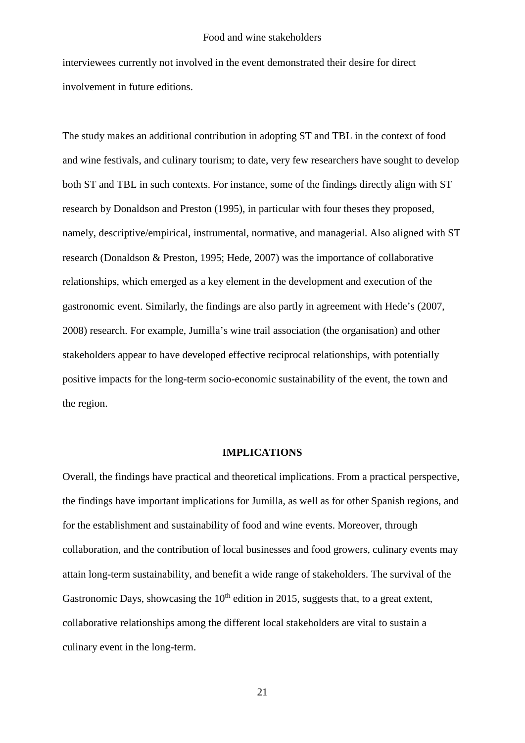interviewees currently not involved in the event demonstrated their desire for direct involvement in future editions.

The study makes an additional contribution in adopting ST and TBL in the context of food and wine festivals, and culinary tourism; to date, very few researchers have sought to develop both ST and TBL in such contexts. For instance, some of the findings directly align with ST research by Donaldson and Preston (1995), in particular with four theses they proposed, namely, descriptive/empirical, instrumental, normative, and managerial. Also aligned with ST research (Donaldson & Preston, 1995; Hede, 2007) was the importance of collaborative relationships, which emerged as a key element in the development and execution of the gastronomic event. Similarly, the findings are also partly in agreement with Hede's (2007, 2008) research. For example, Jumilla's wine trail association (the organisation) and other stakeholders appear to have developed effective reciprocal relationships, with potentially positive impacts for the long-term socio-economic sustainability of the event, the town and the region.

## **IMPLICATIONS**

Overall, the findings have practical and theoretical implications. From a practical perspective, the findings have important implications for Jumilla, as well as for other Spanish regions, and for the establishment and sustainability of food and wine events. Moreover, through collaboration, and the contribution of local businesses and food growers, culinary events may attain long-term sustainability, and benefit a wide range of stakeholders. The survival of the Gastronomic Days, showcasing the  $10<sup>th</sup>$  edition in 2015, suggests that, to a great extent, collaborative relationships among the different local stakeholders are vital to sustain a culinary event in the long-term.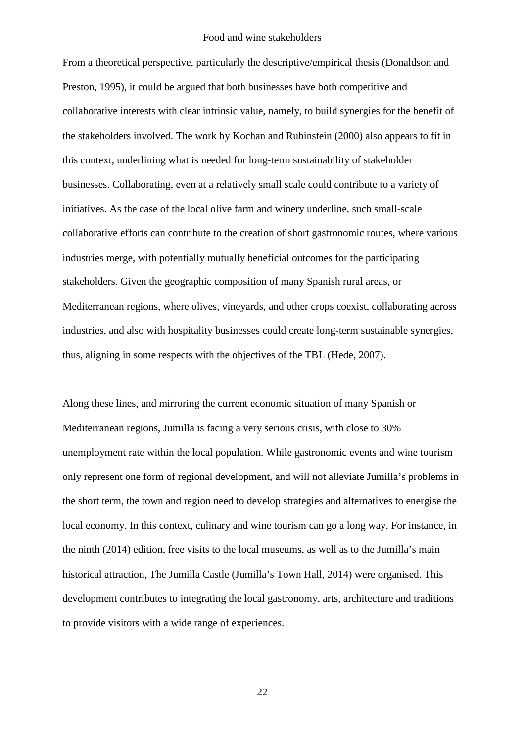From a theoretical perspective, particularly the descriptive/empirical thesis (Donaldson and Preston, 1995), it could be argued that both businesses have both competitive and collaborative interests with clear intrinsic value, namely, to build synergies for the benefit of the stakeholders involved. The work by Kochan and Rubinstein (2000) also appears to fit in this context, underlining what is needed for long-term sustainability of stakeholder businesses. Collaborating, even at a relatively small scale could contribute to a variety of initiatives. As the case of the local olive farm and winery underline, such small-scale collaborative efforts can contribute to the creation of short gastronomic routes, where various industries merge, with potentially mutually beneficial outcomes for the participating stakeholders. Given the geographic composition of many Spanish rural areas, or Mediterranean regions, where olives, vineyards, and other crops coexist, collaborating across industries, and also with hospitality businesses could create long-term sustainable synergies, thus, aligning in some respects with the objectives of the TBL (Hede, 2007).

Along these lines, and mirroring the current economic situation of many Spanish or Mediterranean regions, Jumilla is facing a very serious crisis, with close to 30% unemployment rate within the local population. While gastronomic events and wine tourism only represent one form of regional development, and will not alleviate Jumilla's problems in the short term, the town and region need to develop strategies and alternatives to energise the local economy. In this context, culinary and wine tourism can go a long way. For instance, in the ninth (2014) edition, free visits to the local museums, as well as to the Jumilla's main historical attraction, The Jumilla Castle (Jumilla's Town Hall, 2014) were organised. This development contributes to integrating the local gastronomy, arts, architecture and traditions to provide visitors with a wide range of experiences.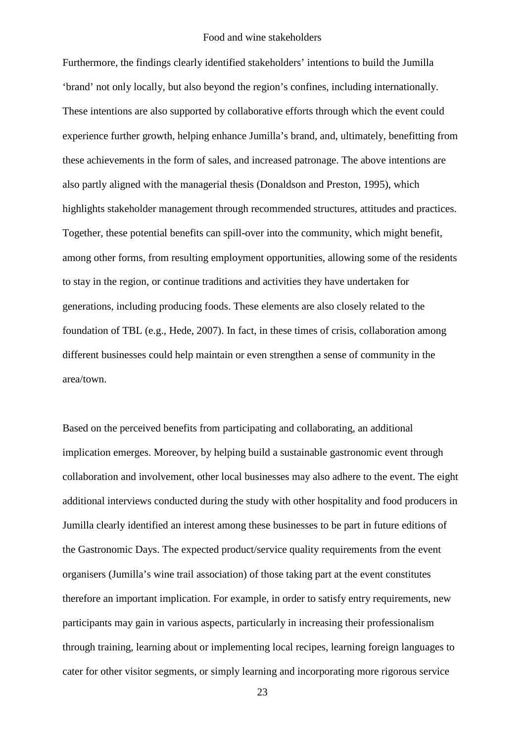Furthermore, the findings clearly identified stakeholders' intentions to build the Jumilla 'brand' not only locally, but also beyond the region's confines, including internationally. These intentions are also supported by collaborative efforts through which the event could experience further growth, helping enhance Jumilla's brand, and, ultimately, benefitting from these achievements in the form of sales, and increased patronage. The above intentions are also partly aligned with the managerial thesis (Donaldson and Preston, 1995), which highlights stakeholder management through recommended structures, attitudes and practices. Together, these potential benefits can spill-over into the community, which might benefit, among other forms, from resulting employment opportunities, allowing some of the residents to stay in the region, or continue traditions and activities they have undertaken for generations, including producing foods. These elements are also closely related to the foundation of TBL (e.g., Hede, 2007). In fact, in these times of crisis, collaboration among different businesses could help maintain or even strengthen a sense of community in the area/town.

Based on the perceived benefits from participating and collaborating, an additional implication emerges. Moreover, by helping build a sustainable gastronomic event through collaboration and involvement, other local businesses may also adhere to the event. The eight additional interviews conducted during the study with other hospitality and food producers in Jumilla clearly identified an interest among these businesses to be part in future editions of the Gastronomic Days. The expected product/service quality requirements from the event organisers (Jumilla's wine trail association) of those taking part at the event constitutes therefore an important implication. For example, in order to satisfy entry requirements, new participants may gain in various aspects, particularly in increasing their professionalism through training, learning about or implementing local recipes, learning foreign languages to cater for other visitor segments, or simply learning and incorporating more rigorous service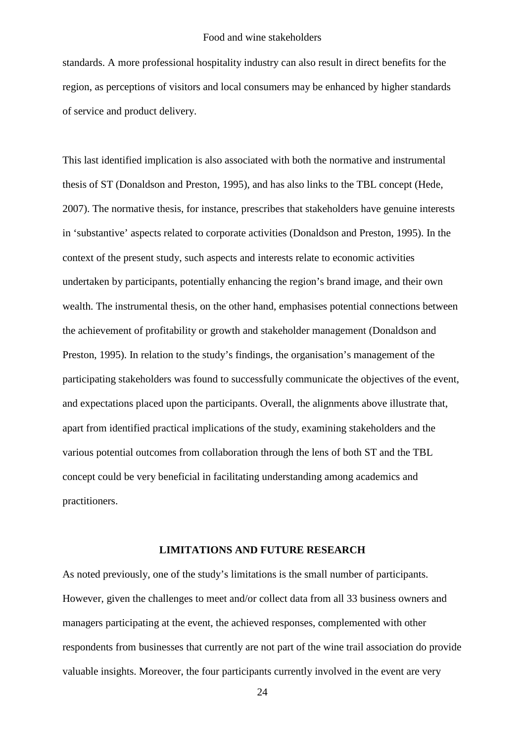standards. A more professional hospitality industry can also result in direct benefits for the region, as perceptions of visitors and local consumers may be enhanced by higher standards of service and product delivery.

This last identified implication is also associated with both the normative and instrumental thesis of ST (Donaldson and Preston, 1995), and has also links to the TBL concept (Hede, 2007). The normative thesis, for instance, prescribes that stakeholders have genuine interests in 'substantive' aspects related to corporate activities (Donaldson and Preston, 1995). In the context of the present study, such aspects and interests relate to economic activities undertaken by participants, potentially enhancing the region's brand image, and their own wealth. The instrumental thesis, on the other hand, emphasises potential connections between the achievement of profitability or growth and stakeholder management (Donaldson and Preston, 1995). In relation to the study's findings, the organisation's management of the participating stakeholders was found to successfully communicate the objectives of the event, and expectations placed upon the participants. Overall, the alignments above illustrate that, apart from identified practical implications of the study, examining stakeholders and the various potential outcomes from collaboration through the lens of both ST and the TBL concept could be very beneficial in facilitating understanding among academics and practitioners.

## **LIMITATIONS AND FUTURE RESEARCH**

As noted previously, one of the study's limitations is the small number of participants. However, given the challenges to meet and/or collect data from all 33 business owners and managers participating at the event, the achieved responses, complemented with other respondents from businesses that currently are not part of the wine trail association do provide valuable insights. Moreover, the four participants currently involved in the event are very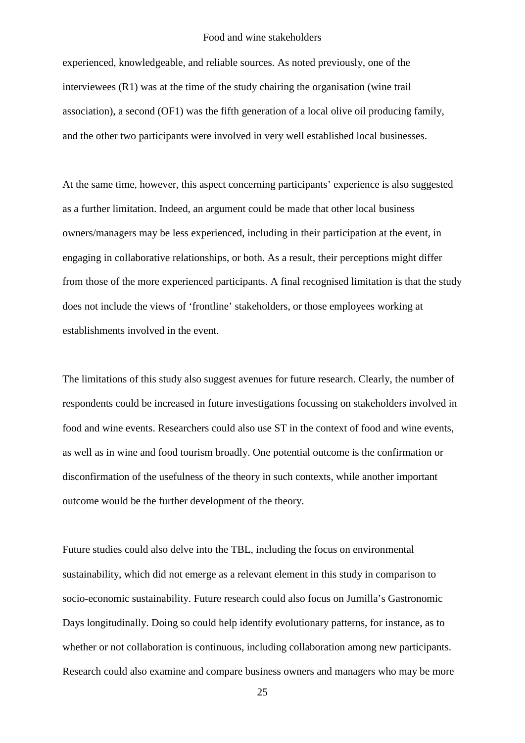experienced, knowledgeable, and reliable sources. As noted previously, one of the interviewees (R1) was at the time of the study chairing the organisation (wine trail association), a second (OF1) was the fifth generation of a local olive oil producing family, and the other two participants were involved in very well established local businesses.

At the same time, however, this aspect concerning participants' experience is also suggested as a further limitation. Indeed, an argument could be made that other local business owners/managers may be less experienced, including in their participation at the event, in engaging in collaborative relationships, or both. As a result, their perceptions might differ from those of the more experienced participants. A final recognised limitation is that the study does not include the views of 'frontline' stakeholders, or those employees working at establishments involved in the event.

The limitations of this study also suggest avenues for future research. Clearly, the number of respondents could be increased in future investigations focussing on stakeholders involved in food and wine events. Researchers could also use ST in the context of food and wine events, as well as in wine and food tourism broadly. One potential outcome is the confirmation or disconfirmation of the usefulness of the theory in such contexts, while another important outcome would be the further development of the theory.

Future studies could also delve into the TBL, including the focus on environmental sustainability, which did not emerge as a relevant element in this study in comparison to socio-economic sustainability. Future research could also focus on Jumilla's Gastronomic Days longitudinally. Doing so could help identify evolutionary patterns, for instance, as to whether or not collaboration is continuous, including collaboration among new participants. Research could also examine and compare business owners and managers who may be more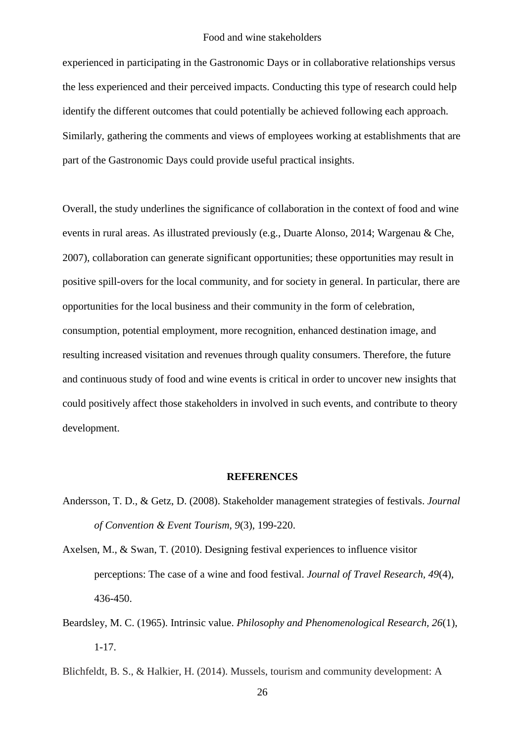experienced in participating in the Gastronomic Days or in collaborative relationships versus the less experienced and their perceived impacts. Conducting this type of research could help identify the different outcomes that could potentially be achieved following each approach. Similarly, gathering the comments and views of employees working at establishments that are part of the Gastronomic Days could provide useful practical insights.

Overall, the study underlines the significance of collaboration in the context of food and wine events in rural areas. As illustrated previously (e.g., Duarte Alonso, 2014; Wargenau & Che, 2007), collaboration can generate significant opportunities; these opportunities may result in positive spill-overs for the local community, and for society in general. In particular, there are opportunities for the local business and their community in the form of celebration, consumption, potential employment, more recognition, enhanced destination image, and resulting increased visitation and revenues through quality consumers. Therefore, the future and continuous study of food and wine events is critical in order to uncover new insights that could positively affect those stakeholders in involved in such events, and contribute to theory development.

#### **REFERENCES**

- Andersson, T. D., & Getz, D. (2008). Stakeholder management strategies of festivals. *Journal of Convention & Event Tourism, 9*(3), 199-220.
- Axelsen, M., & Swan, T. (2010). Designing festival experiences to influence visitor perceptions: The case of a wine and food festival. *Journal of Travel Research, 49*(4), 436-450.
- Beardsley, M. C. (1965). Intrinsic value. *Philosophy and Phenomenological Research, 26*(1), 1-17.
- Blichfeldt, B. S., & Halkier, H. (2014). Mussels, tourism and community development: A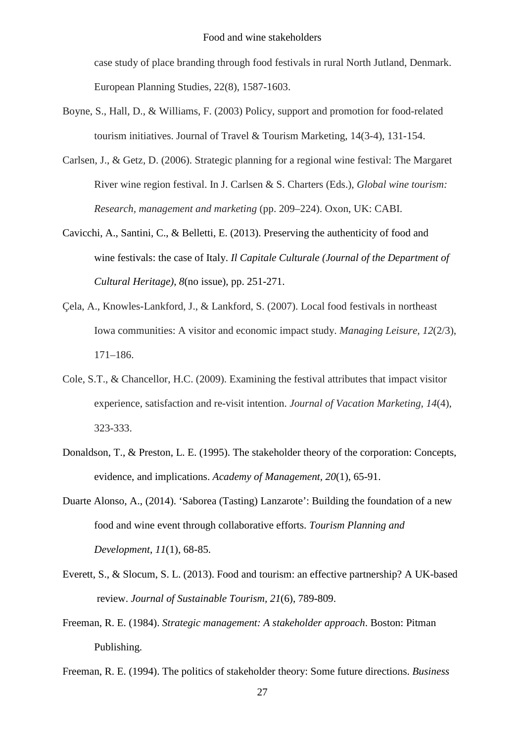case study of place branding through food festivals in rural North Jutland, Denmark. European Planning Studies, 22(8), 1587-1603.

- Boyne, S., Hall, D., & Williams, F. (2003) Policy, support and promotion for food-related tourism initiatives. Journal of Travel & Tourism Marketing, 14(3-4), 131-154.
- Carlsen, J., & Getz, D. (2006). Strategic planning for a regional wine festival: The Margaret River wine region festival. In J. Carlsen & S. Charters (Eds.), *Global wine tourism: Research, management and marketing* (pp. 209–224). Oxon, UK: CABI.
- Cavicchi, A., Santini, C., & Belletti, E. (2013). Preserving the authenticity of food and wine festivals: the case of Italy. *Il Capitale Culturale (Journal of the Department of Cultural Heritage)*, *8*(no issue), pp. 251-271.
- Çela, A., Knowles-Lankford, J., & Lankford, S. (2007). Local food festivals in northeast Iowa communities: A visitor and economic impact study. *Managing Leisure, 12*(2/3), 171–186.
- Cole, S.T., & Chancellor, H.C. (2009). Examining the festival attributes that impact visitor experience, satisfaction and re-visit intention. *Journal of Vacation Marketing, 14*(4), 323-333.
- Donaldson, T., & Preston, L. E. (1995). The stakeholder theory of the corporation: Concepts, evidence, and implications. *Academy of Management, 20*(1), 65-91.
- Duarte Alonso, A., (2014). 'Saborea (Tasting) Lanzarote': Building the foundation of a new food and wine event through collaborative efforts. *Tourism Planning and Development*, *11*(1), 68-85.
- Everett, S., & Slocum, S. L. (2013). Food and tourism: an effective partnership? A UK-based review. *Journal of Sustainable Tourism, 21*(6), 789-809.
- Freeman, R. E. (1984). *Strategic management: A stakeholder approach*. Boston: Pitman Publishing.
- Freeman, R. E. (1994). The politics of stakeholder theory: Some future directions. *Business*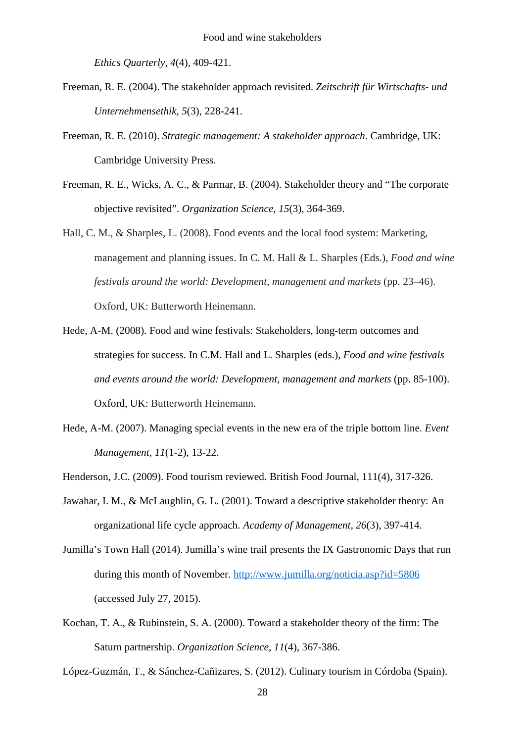*Ethics Quarterly, 4*(4), 409-421.

- Freeman, R. E. (2004). The stakeholder approach revisited. *Zeitschrift für Wirtschafts- und Unternehmensethik, 5*(3), 228-241.
- Freeman, R. E. (2010). *Strategic management: A stakeholder approach*. Cambridge, UK: Cambridge University Press.
- Freeman, R. E., Wicks, A. C., & Parmar, B. (2004). Stakeholder theory and "The corporate objective revisited". *Organization Science, 15*(3), 364-369.
- Hall, C. M., & Sharples, L. (2008). Food events and the local food system: Marketing, management and planning issues. In C. M. Hall & L. Sharples (Eds.), *Food and wine festivals around the world: Development, management and markets* (pp. 23–46). Oxford, UK: Butterworth Heinemann.
- Hede, A-M. (2008). Food and wine festivals: Stakeholders, long-term outcomes and strategies for success. In C.M. Hall and L. Sharples (eds.), *Food and wine festivals and events around the world: Development, management and markets* (pp. 85-100). Oxford, UK: Butterworth Heinemann.
- Hede, A-M. (2007). Managing special events in the new era of the triple bottom line. *Event Management, 11*(1-2), 13-22.
- Henderson, J.C. (2009). Food tourism reviewed. British Food Journal, 111(4), 317-326.
- Jawahar, I. M., & McLaughlin, G. L. (2001). Toward a descriptive stakeholder theory: An organizational life cycle approach. *Academy of Management, 26*(3), 397-414.
- Jumilla's Town Hall (2014). Jumilla's wine trail presents the IX Gastronomic Days that run during this month of November.<http://www.jumilla.org/noticia.asp?id=5806> (accessed July 27, 2015).
- Kochan, T. A., & Rubinstein, S. A. (2000). Toward a stakeholder theory of the firm: The Saturn partnership. *Organization Science, 11*(4), 367-386.

López-Guzmán, T., & Sánchez-Cañizares, S. (2012). Culinary tourism in Córdoba (Spain).